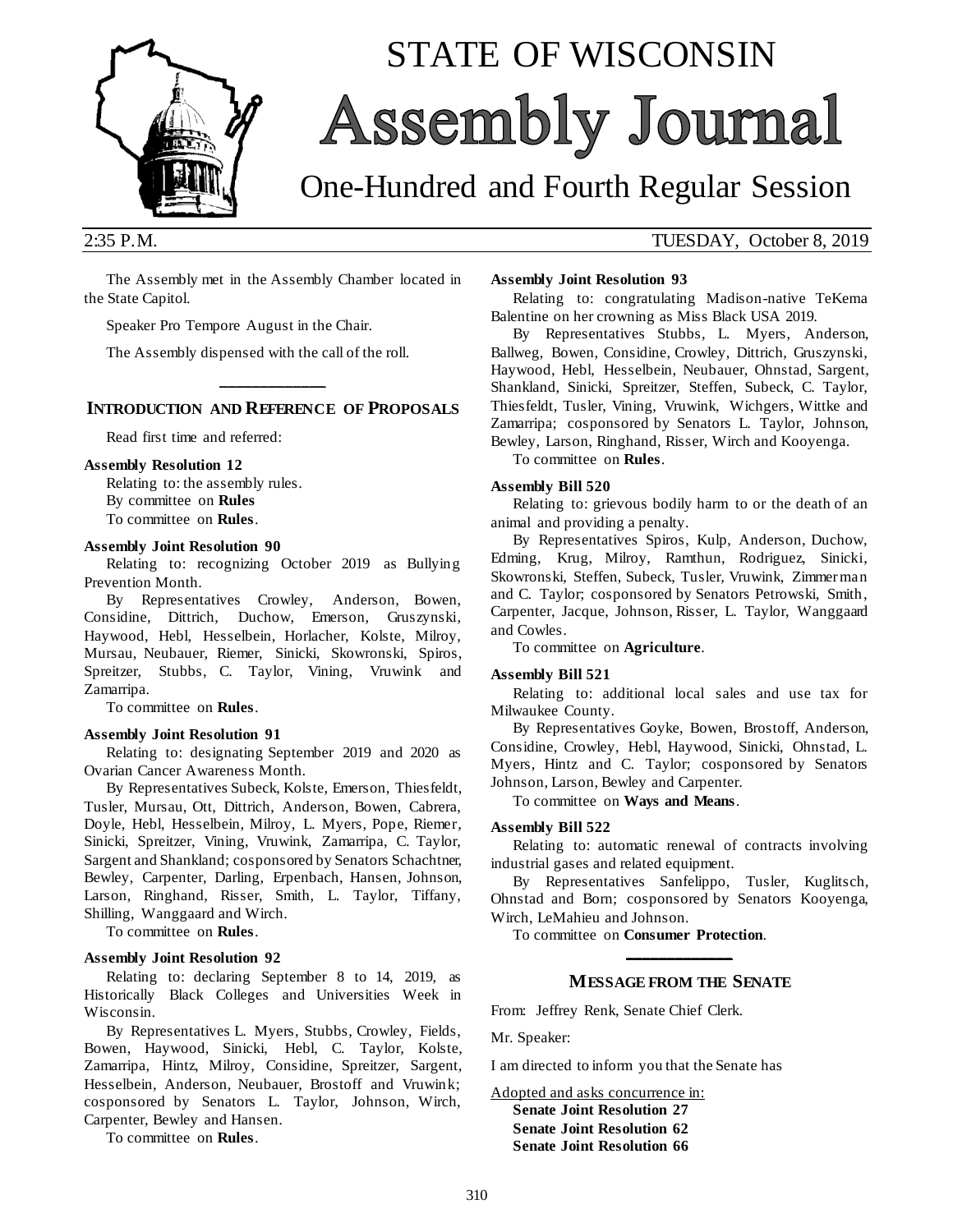

# STATE OF WISCONSIN Assembly Journal

## One-Hundred and Fourth Regular Session

2:35 P.M. TUESDAY, October 8, 2019

The Assembly met in the Assembly Chamber located in the State Capitol.

Speaker Pro Tempore August in the Chair.

The Assembly dispensed with the call of the roll.

#### **\_\_\_\_\_\_\_\_\_\_\_\_\_ INTRODUCTION AND REFERENCE OF PROPOSALS**

Read first time and referred:

#### **Assembly Resolution 12**

Relating to: the assembly rules. By committee on **Rules** To committee on **Rules**.

#### **Assembly Joint Resolution 90**

Relating to: recognizing October 2019 as Bullying Prevention Month.

By Representatives Crowley, Anderson, Bowen, Considine, Dittrich, Duchow, Emerson, Gruszynski, Haywood, Hebl, Hesselbein, Horlacher, Kolste, Milroy, Mursau, Neubauer, Riemer, Sinicki, Skowronski, Spiros, Spreitzer, Stubbs, C. Taylor, Vining, Vruwink and Zamarripa.

To committee on **Rules**.

#### **Assembly Joint Resolution 91**

Relating to: designating September 2019 and 2020 as Ovarian Cancer Awareness Month.

By Representatives Subeck, Kolste, Emerson, Thiesfeldt, Tusler, Mursau, Ott, Dittrich, Anderson, Bowen, Cabrera, Doyle, Hebl, Hesselbein, Milroy, L. Myers, Pope, Riemer, Sinicki, Spreitzer, Vining, Vruwink, Zamarripa, C. Taylor, Sargent and Shankland; cosponsored by Senators Schachtner, Bewley, Carpenter, Darling, Erpenbach, Hansen, Johnson, Larson, Ringhand, Risser, Smith, L. Taylor, Tiffany, Shilling, Wanggaard and Wirch.

To committee on **Rules**.

#### **Assembly Joint Resolution 92**

Relating to: declaring September 8 to 14, 2019, as Historically Black Colleges and Universities Week in Wisconsin.

By Representatives L. Myers, Stubbs, Crowley, Fields, Bowen, Haywood, Sinicki, Hebl, C. Taylor, Kolste, Zamarripa, Hintz, Milroy, Considine, Spreitzer, Sargent, Hesselbein, Anderson, Neubauer, Brostoff and Vruwink; cosponsored by Senators L. Taylor, Johnson, Wirch, Carpenter, Bewley and Hansen.

To committee on **Rules**.

#### **Assembly Joint Resolution 93**

Relating to: congratulating Madison-native TeKema Balentine on her crowning as Miss Black USA 2019.

By Representatives Stubbs, L. Myers, Anderson, Ballweg, Bowen, Considine, Crowley, Dittrich, Gruszynski, Haywood, Hebl, Hesselbein, Neubauer, Ohnstad, Sargent, Shankland, Sinicki, Spreitzer, Steffen, Subeck, C. Taylor, Thiesfeldt, Tusler, Vining, Vruwink, Wichgers, Wittke and Zamarripa; cosponsored by Senators L. Taylor, Johnson, Bewley, Larson, Ringhand, Risser, Wirch and Kooyenga.

To committee on **Rules**.

#### **Assembly Bill 520**

Relating to: grievous bodily harm to or the death of an animal and providing a penalty.

By Representatives Spiros, Kulp, Anderson, Duchow, Edming, Krug, Milroy, Ramthun, Rodriguez, Sinicki, Skowronski, Steffen, Subeck, Tusler, Vruwink, Zimmer man and C. Taylor; cosponsored by Senators Petrowski, Smith, Carpenter, Jacque, Johnson, Risser, L. Taylor, Wanggaard and Cowles.

To committee on **Agriculture**.

#### **Assembly Bill 521**

Relating to: additional local sales and use tax for Milwaukee County.

By Representatives Goyke, Bowen, Brostoff, Anderson, Considine, Crowley, Hebl, Haywood, Sinicki, Ohnstad, L. Myers, Hintz and C. Taylor; cosponsored by Senators Johnson, Larson, Bewley and Carpenter.

To committee on **Ways and Means**.

#### **Assembly Bill 522**

Relating to: automatic renewal of contracts involving industrial gases and related equipment.

By Representatives Sanfelippo, Tusler, Kuglitsch, Ohnstad and Born; cosponsored by Senators Kooyenga, Wirch, LeMahieu and Johnson.

To committee on **Consumer Protection**.

### **\_\_\_\_\_\_\_\_\_\_\_\_\_ MESSAGE FROM THE SENATE**

From: Jeffrey Renk, Senate Chief Clerk.

Mr. Speaker:

I am directed to inform you that the Senate has

Adopted and asks concurrence in: **Senate Joint Resolution 27**

**Senate Joint Resolution 62 Senate Joint Resolution 66**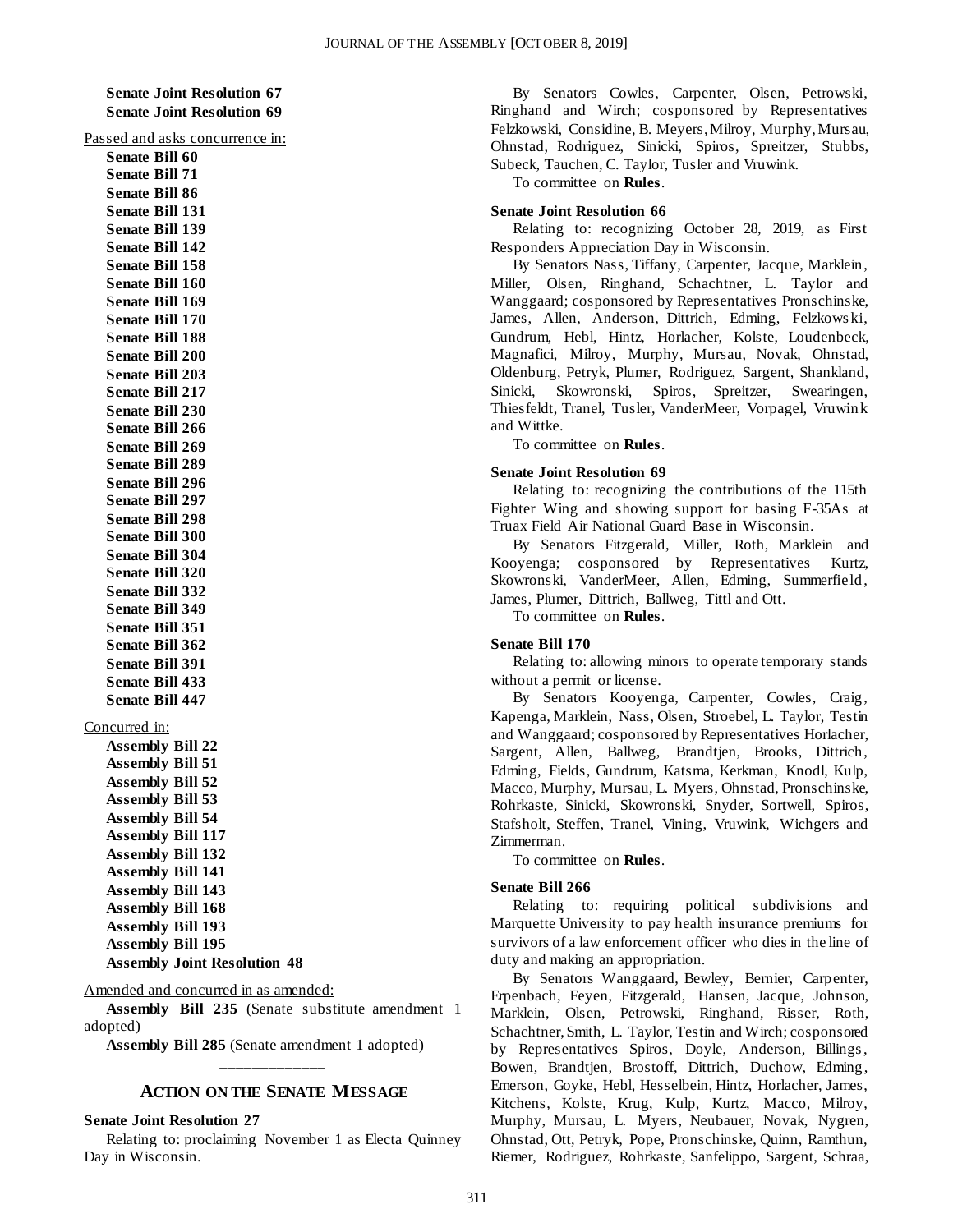**Senate Joint Resolution 67 Senate Joint Resolution 69**

#### Passed and asks concurrence in:

**Senate Bill 60 Senate Bill 71 Senate Bill 86 Senate Bill 131 Senate Bill 139 Senate Bill 142 Senate Bill 158 Senate Bill 160 Senate Bill 169 Senate Bill 170 Senate Bill 188 Senate Bill 200 Senate Bill 203 Senate Bill 217 Senate Bill 230 Senate Bill 266 Senate Bill 269 Senate Bill 289 Senate Bill 296 Senate Bill 297 Senate Bill 298 Senate Bill 300 Senate Bill 304 Senate Bill 320 Senate Bill 332 Senate Bill 349 Senate Bill 351 Senate Bill 362 Senate Bill 391 Senate Bill 433 Senate Bill 447**

#### Concurred in:

**Assembly Bill 22 Assembly Bill 51 Assembly Bill 52 Assembly Bill 53 Assembly Bill 54 Assembly Bill 117 Assembly Bill 132 Assembly Bill 141 Assembly Bill 143 Assembly Bill 168 Assembly Bill 193 Assembly Bill 195 Assembly Joint Resolution 48**

#### Amended and concurred in as amended:

**Assembly Bill 235** (Senate substitute amendment 1 adopted)

**Assembly Bill 285** (Senate amendment 1 adopted) **\_\_\_\_\_\_\_\_\_\_\_\_\_**

#### **ACTION ON THE SENATE MESSAGE**

#### **Senate Joint Resolution 27**

Relating to: proclaiming November 1 as Electa Quinney Day in Wisconsin.

By Senators Cowles, Carpenter, Olsen, Petrowski, Ringhand and Wirch; cosponsored by Representatives Felzkowski, Considine, B. Meyers, Milroy, Murphy, Mursau, Ohnstad, Rodriguez, Sinicki, Spiros, Spreitzer, Stubbs, Subeck, Tauchen, C. Taylor, Tusler and Vruwink.

To committee on **Rules**.

#### **Senate Joint Resolution 66**

Relating to: recognizing October 28, 2019, as First Responders Appreciation Day in Wisconsin.

By Senators Nass, Tiffany, Carpenter, Jacque, Marklein, Miller, Olsen, Ringhand, Schachtner, L. Taylor and Wanggaard; cosponsored by Representatives Pronschinske, James, Allen, Anderson, Dittrich, Edming, Felzkows ki, Gundrum, Hebl, Hintz, Horlacher, Kolste, Loudenbeck, Magnafici, Milroy, Murphy, Mursau, Novak, Ohnstad, Oldenburg, Petryk, Plumer, Rodriguez, Sargent, Shankland, Sinicki, Skowronski, Spiros, Spreitzer, Swearingen, Thiesfeldt, Tranel, Tusler, VanderMeer, Vorpagel, Vruwink and Wittke.

To committee on **Rules**.

#### **Senate Joint Resolution 69**

Relating to: recognizing the contributions of the 115th Fighter Wing and showing support for basing F-35As at Truax Field Air National Guard Base in Wisconsin.

By Senators Fitzgerald, Miller, Roth, Marklein and Kooyenga; cosponsored by Representatives Kurtz, Skowronski, VanderMeer, Allen, Edming, Summerfield, James, Plumer, Dittrich, Ballweg, Tittl and Ott.

To committee on **Rules**.

#### **Senate Bill 170**

Relating to: allowing minors to operate temporary stands without a permit or license.

By Senators Kooyenga, Carpenter, Cowles, Craig, Kapenga, Marklein, Nass, Olsen, Stroebel, L. Taylor, Testin and Wanggaard; cosponsored by Representatives Horlacher, Sargent, Allen, Ballweg, Brandtjen, Brooks, Dittrich, Edming, Fields, Gundrum, Katsma, Kerkman, Knodl, Kulp, Macco, Murphy, Mursau, L. Myers, Ohnstad, Pronschinske, Rohrkaste, Sinicki, Skowronski, Snyder, Sortwell, Spiros, Stafsholt, Steffen, Tranel, Vining, Vruwink, Wichgers and Zimmerman.

To committee on **Rules**.

#### **Senate Bill 266**

Relating to: requiring political subdivisions and Marquette University to pay health insurance premiums for survivors of a law enforcement officer who dies in the line of duty and making an appropriation.

By Senators Wanggaard, Bewley, Bernier, Carpenter, Erpenbach, Feyen, Fitzgerald, Hansen, Jacque, Johnson, Marklein, Olsen, Petrowski, Ringhand, Risser, Roth, Schachtner, Smith, L. Taylor, Testin and Wirch; cosponsored by Representatives Spiros, Doyle, Anderson, Billings , Bowen, Brandtjen, Brostoff, Dittrich, Duchow, Edming, Emerson, Goyke, Hebl, Hesselbein, Hintz, Horlacher, James, Kitchens, Kolste, Krug, Kulp, Kurtz, Macco, Milroy, Murphy, Mursau, L. Myers, Neubauer, Novak, Nygren, Ohnstad, Ott, Petryk, Pope, Pronschinske, Quinn, Ramthun, Riemer, Rodriguez, Rohrkaste, Sanfelippo, Sargent, Schraa,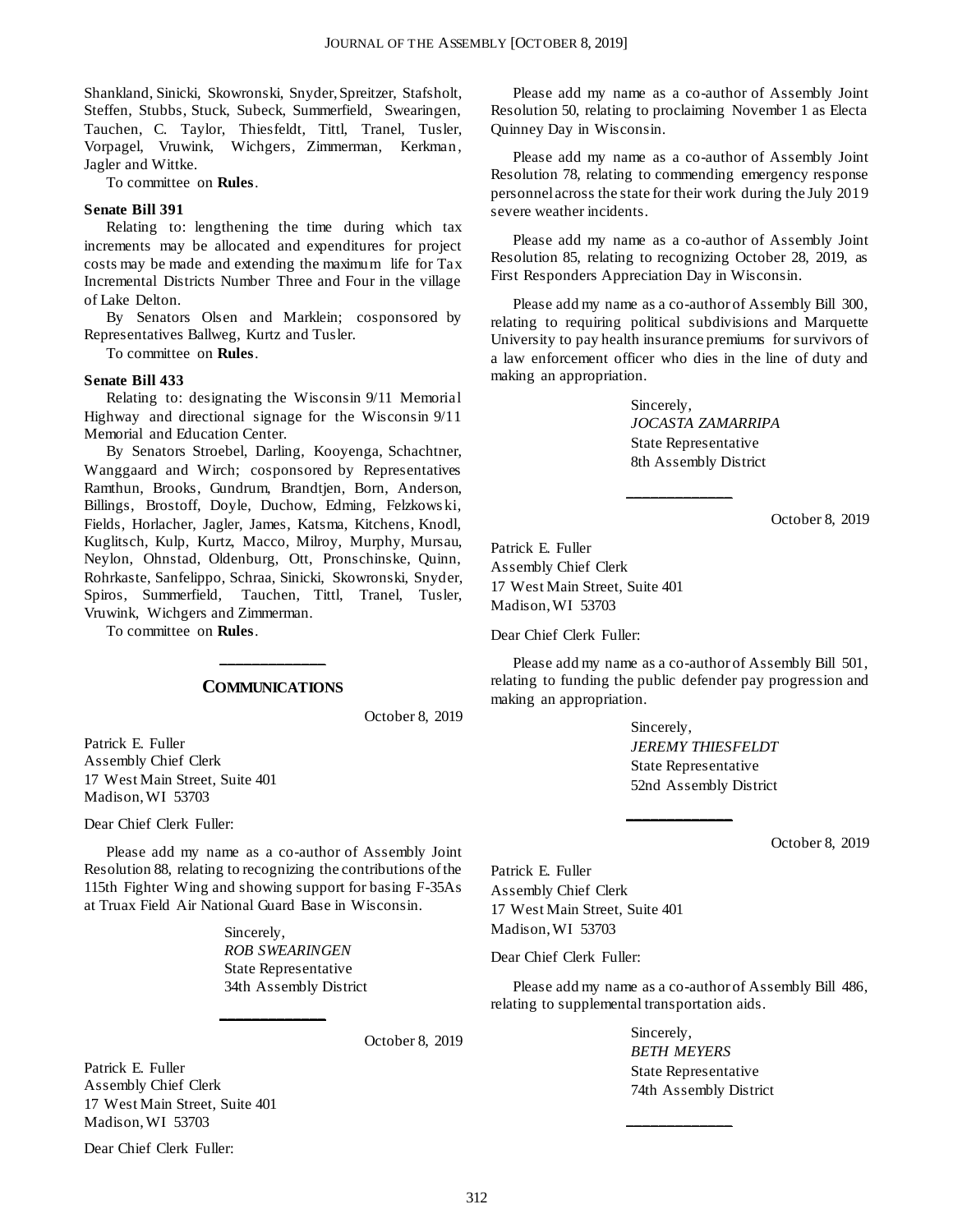Shankland, Sinicki, Skowronski, Snyder, Spreitzer, Stafsholt, Steffen, Stubbs, Stuck, Subeck, Summerfield, Swearingen, Tauchen, C. Taylor, Thiesfeldt, Tittl, Tranel, Tusler, Vorpagel, Vruwink, Wichgers, Zimmerman, Kerkman, Jagler and Wittke.

To committee on **Rules**.

#### **Senate Bill 391**

Relating to: lengthening the time during which tax increments may be allocated and expenditures for project costs may be made and extending the maximum life for Tax Incremental Districts Number Three and Four in the village of Lake Delton.

By Senators Olsen and Marklein; cosponsored by Representatives Ballweg, Kurtz and Tusler.

To committee on **Rules**.

#### **Senate Bill 433**

Relating to: designating the Wisconsin 9/11 Memorial Highway and directional signage for the Wisconsin 9/11 Memorial and Education Center.

By Senators Stroebel, Darling, Kooyenga, Schachtner, Wanggaard and Wirch; cosponsored by Representatives Ramthun, Brooks, Gundrum, Brandtjen, Born, Anderson, Billings, Brostoff, Doyle, Duchow, Edming, Felzkows ki, Fields, Horlacher, Jagler, James, Katsma, Kitchens, Knodl, Kuglitsch, Kulp, Kurtz, Macco, Milroy, Murphy, Mursau, Neylon, Ohnstad, Oldenburg, Ott, Pronschinske, Quinn, Rohrkaste, Sanfelippo, Schraa, Sinicki, Skowronski, Snyder, Spiros, Summerfield, Tauchen, Tittl, Tranel, Tusler, Vruwink, Wichgers and Zimmerman.

To committee on **Rules**.

#### **\_\_\_\_\_\_\_\_\_\_\_\_\_ COMMUNICATIONS**

October 8, 2019

Patrick E. Fuller Assembly Chief Clerk 17 West Main Street, Suite 401 Madison, WI 53703

Dear Chief Clerk Fuller:

Please add my name as a co-author of Assembly Joint Resolution 88, relating to recognizing the contributions of the 115th Fighter Wing and showing support for basing F-35As at Truax Field Air National Guard Base in Wisconsin.

**\_\_\_\_\_\_\_\_\_\_\_\_\_**

Sincerely, *ROB SWEARINGEN* State Representative 34th Assembly District

October 8, 2019

Patrick E. Fuller Assembly Chief Clerk 17 West Main Street, Suite 401 Madison, WI 53703

Dear Chief Clerk Fuller:

Please add my name as a co-author of Assembly Joint Resolution 50, relating to proclaiming November 1 as Electa Quinney Day in Wisconsin.

Please add my name as a co-author of Assembly Joint Resolution 78, relating to commending emergency response personnel across the state for their work during the July 2019 severe weather incidents.

Please add my name as a co-author of Assembly Joint Resolution 85, relating to recognizing October 28, 2019, as First Responders Appreciation Day in Wisconsin.

Please add my name as a co-author of Assembly Bill 300, relating to requiring political subdivisions and Marquette University to pay health insurance premiums for survivors of a law enforcement officer who dies in the line of duty and making an appropriation.

**\_\_\_\_\_\_\_\_\_\_\_\_\_**

Sincerely, *JOCASTA ZAMARRIPA* State Representative 8th Assembly District

October 8, 2019

Patrick E. Fuller Assembly Chief Clerk 17 West Main Street, Suite 401 Madison, WI 53703

Dear Chief Clerk Fuller:

Please add my name as a co-author of Assembly Bill 501, relating to funding the public defender pay progression and making an appropriation.

**\_\_\_\_\_\_\_\_\_\_\_\_\_**

Sincerely, *JEREMY THIESFELDT* State Representative 52nd Assembly District

October 8, 2019

Patrick E. Fuller Assembly Chief Clerk 17 West Main Street, Suite 401 Madison, WI 53703

Dear Chief Clerk Fuller:

Please add my name as a co-author of Assembly Bill 486, relating to supplemental transportation aids.

**\_\_\_\_\_\_\_\_\_\_\_\_\_**

Sincerely, *BETH MEYERS* State Representative 74th Assembly District